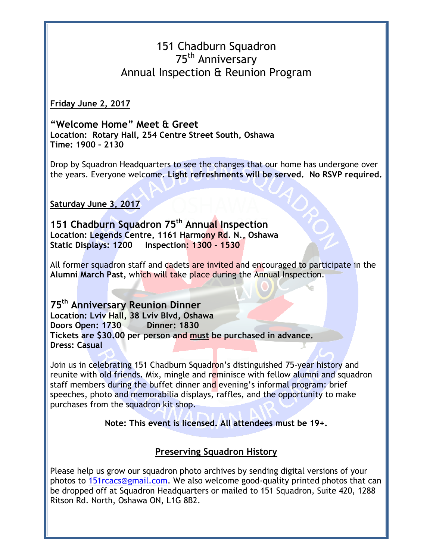## 151 Chadburn Squadron 75th Anniversary Annual Inspection & Reunion Program

**Friday June 2, 2017**

**"Welcome Home" Meet & Greet Location: Rotary Hall, 254 Centre Street South, Oshawa Time: 1900 – 2130**

Drop by Squadron Headquarters to see the changes that our home has undergone over the years. Everyone welcome. **Light refreshments will be served. No RSVP required.** 

**Saturday June 3, 2017**

**151 Chadburn Squadron 75th Annual Inspection Location: Legends Centre, 1161 Harmony Rd. N., Oshawa Static Displays: 1200 Inspection: 1300 - 1530**

All former squadron staff and cadets are invited and encouraged to participate in the **Alumni March Past,** which will take place during the Annual Inspection.

**75th Anniversary Reunion Dinner Location: Lviv Hall, 38 Lviv Blvd, Oshawa Doors Open: 1730 Dinner: 1830 Tickets are \$30.00 per person and must be purchased in advance. Dress: Casual**

Join us in celebrating 151 Chadburn Squadron's distinguished 75-year history and reunite with old friends. Mix, mingle and reminisce with fellow alumni and squadron staff members during the buffet dinner and evening's informal program: brief speeches, photo and memorabilia displays, raffles, and the opportunity to make purchases from the squadron kit shop.

**Note: This event is licensed. All attendees must be 19+.** 

## **Preserving Squadron History**

Please help us grow our squadron photo archives by sending digital versions of your photos to [151rcacs@gmail.com.](mailto:151rcacs@gmail.com) We also welcome good-quality printed photos that can be dropped off at Squadron Headquarters or mailed to 151 Squadron, Suite 420, 1288 Ritson Rd. North, Oshawa ON, L1G 8B2.